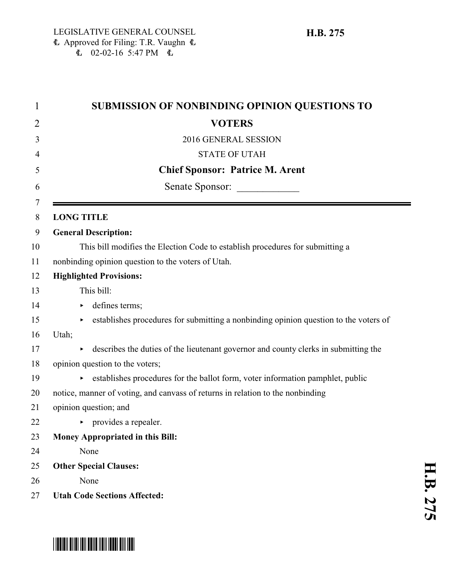| <b>SUBMISSION OF NONBINDING OPINION QUESTIONS TO</b>                                       |
|--------------------------------------------------------------------------------------------|
| <b>VOTERS</b>                                                                              |
| 2016 GENERAL SESSION                                                                       |
| <b>STATE OF UTAH</b>                                                                       |
| <b>Chief Sponsor: Patrice M. Arent</b>                                                     |
| Senate Sponsor:                                                                            |
| <b>LONG TITLE</b>                                                                          |
| <b>General Description:</b>                                                                |
| This bill modifies the Election Code to establish procedures for submitting a              |
| nonbinding opinion question to the voters of Utah.                                         |
| <b>Highlighted Provisions:</b>                                                             |
| This bill:                                                                                 |
| defines terms;<br>▶                                                                        |
| establishes procedures for submitting a nonbinding opinion question to the voters of<br>Þ. |
| Utah;                                                                                      |
| describes the duties of the lieutenant governor and county clerks in submitting the        |
| opinion question to the voters;                                                            |
| establishes procedures for the ballot form, voter information pamphlet, public             |
| notice, manner of voting, and canvass of returns in relation to the nonbinding             |
| opinion question; and                                                                      |
| $\triangleright$ provides a repealer.                                                      |
| <b>Money Appropriated in this Bill:</b>                                                    |
| None                                                                                       |
| <b>Other Special Clauses:</b>                                                              |
| None                                                                                       |
| <b>Utah Code Sections Affected:</b>                                                        |



# \*HB0275\*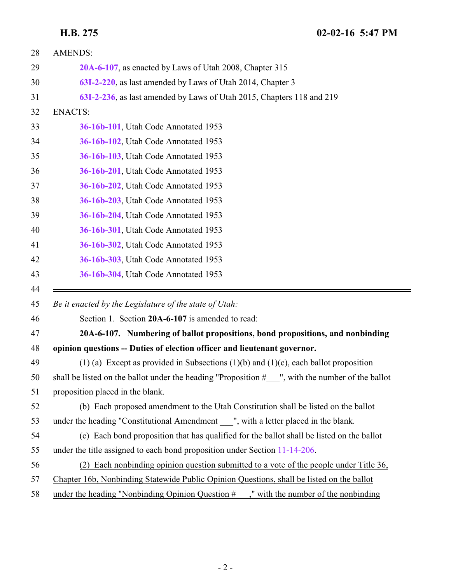<span id="page-1-0"></span>

| 28 | <b>AMENDS:</b>                                                                                    |
|----|---------------------------------------------------------------------------------------------------|
| 29 | 20A-6-107, as enacted by Laws of Utah 2008, Chapter 315                                           |
| 30 | 63I-2-220, as last amended by Laws of Utah 2014, Chapter 3                                        |
| 31 | 63I-2-236, as last amended by Laws of Utah 2015, Chapters 118 and 219                             |
| 32 | <b>ENACTS:</b>                                                                                    |
| 33 | 36-16b-101, Utah Code Annotated 1953                                                              |
| 34 | 36-16b-102, Utah Code Annotated 1953                                                              |
| 35 | 36-16b-103, Utah Code Annotated 1953                                                              |
| 36 | 36-16b-201, Utah Code Annotated 1953                                                              |
| 37 | 36-16b-202, Utah Code Annotated 1953                                                              |
| 38 | 36-16b-203, Utah Code Annotated 1953                                                              |
| 39 | 36-16b-204, Utah Code Annotated 1953                                                              |
| 40 | 36-16b-301, Utah Code Annotated 1953                                                              |
| 41 | 36-16b-302, Utah Code Annotated 1953                                                              |
| 42 | 36-16b-303, Utah Code Annotated 1953                                                              |
| 43 | 36-16b-304, Utah Code Annotated 1953                                                              |
| 44 |                                                                                                   |
| 45 | Be it enacted by the Legislature of the state of Utah:                                            |
| 46 | Section 1. Section 20A-6-107 is amended to read:                                                  |
| 47 | 20A-6-107. Numbering of ballot propositions, bond propositions, and nonbinding                    |
| 48 | opinion questions -- Duties of election officer and lieutenant governor.                          |
| 49 | (1) (a) Except as provided in Subsections (1)(b) and (1)(c), each ballot proposition              |
| 50 | shall be listed on the ballot under the heading "Proposition $#$ ", with the number of the ballot |
| 51 | proposition placed in the blank.                                                                  |
| 52 | (b) Each proposed amendment to the Utah Constitution shall be listed on the ballot                |
| 53 | under the heading "Constitutional Amendment ", with a letter placed in the blank.                 |
| 54 | (c) Each bond proposition that has qualified for the ballot shall be listed on the ballot         |
| 55 | under the title assigned to each bond proposition under Section 11-14-206.                        |
| 56 | (2) Each nonbinding opinion question submitted to a vote of the people under Title 36,            |
| 57 | Chapter 16b, Nonbinding Statewide Public Opinion Questions, shall be listed on the ballot         |
| 58 | under the heading "Nonbinding Opinion Question $#$<br>," with the number of the nonbinding        |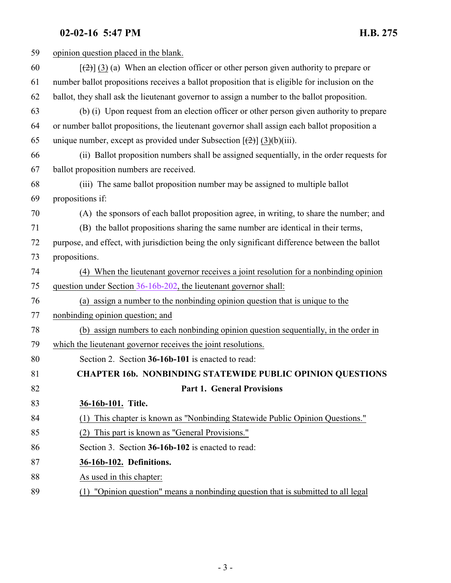## **02-02-16 5:47 PM H.B. 275**

<span id="page-2-1"></span><span id="page-2-0"></span>

| 59 | opinion question placed in the blank.                                                           |
|----|-------------------------------------------------------------------------------------------------|
| 60 | $[\frac{1}{2}]$ (3) (a) When an election officer or other person given authority to prepare or  |
| 61 | number ballot propositions receives a ballot proposition that is eligible for inclusion on the  |
| 62 | ballot, they shall ask the lieutenant governor to assign a number to the ballot proposition.    |
| 63 | (b) (i) Upon request from an election officer or other person given authority to prepare        |
| 64 | or number ballot propositions, the lieutenant governor shall assign each ballot proposition a   |
| 65 | unique number, except as provided under Subsection $[\frac{1}{2}]$ (3)(b)(iii).                 |
| 66 | (ii) Ballot proposition numbers shall be assigned sequentially, in the order requests for       |
| 67 | ballot proposition numbers are received.                                                        |
| 68 | (iii) The same ballot proposition number may be assigned to multiple ballot                     |
| 69 | propositions if:                                                                                |
| 70 | (A) the sponsors of each ballot proposition agree, in writing, to share the number; and         |
| 71 | (B) the ballot propositions sharing the same number are identical in their terms,               |
| 72 | purpose, and effect, with jurisdiction being the only significant difference between the ballot |
| 73 | propositions.                                                                                   |
| 74 | (4) When the lieutenant governor receives a joint resolution for a nonbinding opinion           |
| 75 | question under Section 36-16b-202, the lieutenant governor shall:                               |
| 76 | (a) assign a number to the nonbinding opinion question that is unique to the                    |
| 77 | nonbinding opinion question; and                                                                |
| 78 | (b) assign numbers to each nonbinding opinion question sequentially, in the order in            |
| 79 | which the lieutenant governor receives the joint resolutions.                                   |
| 80 | Section 2. Section 36-16b-101 is enacted to read:                                               |
| 81 | <b>CHAPTER 16b. NONBINDING STATEWIDE PUBLIC OPINION QUESTIONS</b>                               |
| 82 | <b>Part 1. General Provisions</b>                                                               |
| 83 | 36-16b-101. Title.                                                                              |
| 84 | This chapter is known as "Nonbinding Statewide Public Opinion Questions."<br>(1)                |
| 85 | This part is known as "General Provisions."<br>(2)                                              |
| 86 | Section 3. Section 36-16b-102 is enacted to read:                                               |
| 87 | 36-16b-102. Definitions.                                                                        |
| 88 | As used in this chapter:                                                                        |
| 89 | (1) "Opinion question" means a nonbinding question that is submitted to all legal               |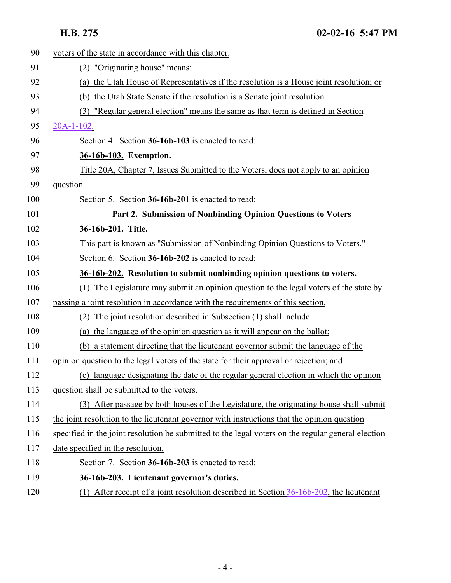<span id="page-3-3"></span><span id="page-3-2"></span><span id="page-3-1"></span><span id="page-3-0"></span>

| 90  | voters of the state in accordance with this chapter.                                               |
|-----|----------------------------------------------------------------------------------------------------|
| 91  | (2) "Originating house" means:                                                                     |
| 92  | (a) the Utah House of Representatives if the resolution is a House joint resolution; or            |
| 93  | (b) the Utah State Senate if the resolution is a Senate joint resolution.                          |
| 94  | "Regular general election" means the same as that term is defined in Section<br>(3)                |
| 95  | $20A-1-102$ .                                                                                      |
| 96  | Section 4. Section 36-16b-103 is enacted to read:                                                  |
| 97  | 36-16b-103. Exemption.                                                                             |
| 98  | Title 20A, Chapter 7, Issues Submitted to the Voters, does not apply to an opinion                 |
| 99  | question.                                                                                          |
| 100 | Section 5. Section 36-16b-201 is enacted to read:                                                  |
| 101 | Part 2. Submission of Nonbinding Opinion Questions to Voters                                       |
| 102 | 36-16b-201. Title.                                                                                 |
| 103 | This part is known as "Submission of Nonbinding Opinion Questions to Voters."                      |
| 104 | Section 6. Section 36-16b-202 is enacted to read:                                                  |
| 105 | 36-16b-202. Resolution to submit nonbinding opinion questions to voters.                           |
| 106 | (1) The Legislature may submit an opinion question to the legal voters of the state by             |
| 107 | passing a joint resolution in accordance with the requirements of this section.                    |
| 108 | The joint resolution described in Subsection (1) shall include:                                    |
| 109 | (a) the language of the opinion question as it will appear on the ballot;                          |
| 110 | (b) a statement directing that the lieutenant governor submit the language of the                  |
| 111 | opinion question to the legal voters of the state for their approval or rejection; and             |
| 112 | (c) language designating the date of the regular general election in which the opinion             |
| 113 | question shall be submitted to the voters.                                                         |
| 114 | (3) After passage by both houses of the Legislature, the originating house shall submit            |
| 115 | the joint resolution to the lieutenant governor with instructions that the opinion question        |
| 116 | specified in the joint resolution be submitted to the legal voters on the regular general election |
| 117 | date specified in the resolution.                                                                  |
| 118 | Section 7. Section 36-16b-203 is enacted to read:                                                  |
| 119 | 36-16b-203. Lieutenant governor's duties.                                                          |
| 120 | After receipt of a joint resolution described in Section 36-16b-202, the lieutenant<br>(1)         |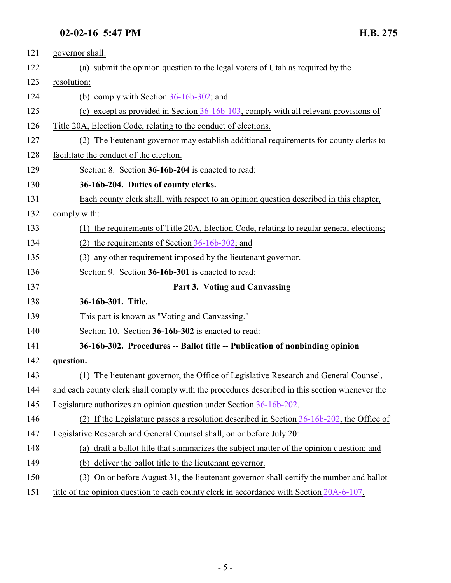### <span id="page-4-0"></span>**02-02-16 5:47 PM H.B. 275**

<span id="page-4-2"></span><span id="page-4-1"></span>

| 121 | governor shall:                                                                               |
|-----|-----------------------------------------------------------------------------------------------|
| 122 | (a) submit the opinion question to the legal voters of Utah as required by the                |
| 123 | resolution;                                                                                   |
| 124 | (b) comply with Section $36-16b-302$ ; and                                                    |
| 125 | (c) except as provided in Section $36-16b-103$ , comply with all relevant provisions of       |
| 126 | Title 20A, Election Code, relating to the conduct of elections.                               |
| 127 | (2) The lieutenant governor may establish additional requirements for county clerks to        |
| 128 | facilitate the conduct of the election.                                                       |
| 129 | Section 8. Section 36-16b-204 is enacted to read:                                             |
| 130 | 36-16b-204. Duties of county clerks.                                                          |
| 131 | Each county clerk shall, with respect to an opinion question described in this chapter,       |
| 132 | comply with:                                                                                  |
| 133 | (1) the requirements of Title 20A, Election Code, relating to regular general elections;      |
| 134 | the requirements of Section $36-16b-302$ ; and<br>(2)                                         |
| 135 | (3) any other requirement imposed by the lieutenant governor.                                 |
| 136 | Section 9. Section 36-16b-301 is enacted to read:                                             |
| 137 | Part 3. Voting and Canvassing                                                                 |
| 138 | 36-16b-301. Title.                                                                            |
| 139 | This part is known as "Voting and Canvassing."                                                |
| 140 | Section 10. Section 36-16b-302 is enacted to read:                                            |
| 141 | 36-16b-302. Procedures -- Ballot title -- Publication of nonbinding opinion                   |
| 142 | question.                                                                                     |
| 143 | (1) The lieutenant governor, the Office of Legislative Research and General Counsel,          |
| 144 | and each county clerk shall comply with the procedures described in this section whenever the |
| 145 | Legislature authorizes an opinion question under Section 36-16b-202.                          |
| 146 | (2) If the Legislature passes a resolution described in Section $36-16b-202$ , the Office of  |
| 147 | Legislative Research and General Counsel shall, on or before July 20:                         |
| 148 | (a) draft a ballot title that summarizes the subject matter of the opinion question; and      |
| 149 | deliver the ballot title to the lieutenant governor.<br>(b)                                   |
| 150 | On or before August 31, the lieutenant governor shall certify the number and ballot<br>(3)    |
| 151 | title of the opinion question to each county clerk in accordance with Section 20A-6-107.      |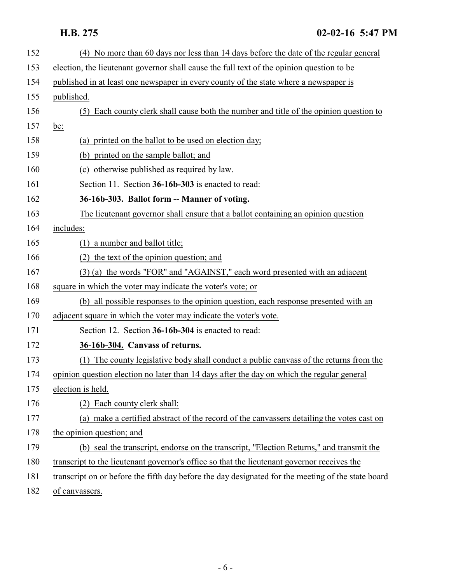<span id="page-5-1"></span><span id="page-5-0"></span>

| 152 | (4) No more than 60 days nor less than 14 days before the date of the regular general              |
|-----|----------------------------------------------------------------------------------------------------|
| 153 | election, the lieutenant governor shall cause the full text of the opinion question to be          |
| 154 | published in at least one newspaper in every county of the state where a newspaper is              |
| 155 | published.                                                                                         |
| 156 | (5) Each county clerk shall cause both the number and title of the opinion question to             |
| 157 | be:                                                                                                |
| 158 | (a) printed on the ballot to be used on election day;                                              |
| 159 | (b) printed on the sample ballot; and                                                              |
| 160 | (c) otherwise published as required by law.                                                        |
| 161 | Section 11. Section 36-16b-303 is enacted to read:                                                 |
| 162 | 36-16b-303. Ballot form -- Manner of voting.                                                       |
| 163 | The lieutenant governor shall ensure that a ballot containing an opinion question                  |
| 164 | includes:                                                                                          |
| 165 | $(1)$ a number and ballot title;                                                                   |
| 166 | (2) the text of the opinion question; and                                                          |
| 167 | (3) (a) the words "FOR" and "AGAINST," each word presented with an adjacent                        |
| 168 | square in which the voter may indicate the voter's vote; or                                        |
| 169 | (b) all possible responses to the opinion question, each response presented with an                |
| 170 | adjacent square in which the voter may indicate the voter's vote.                                  |
| 171 | Section 12. Section 36-16b-304 is enacted to read:                                                 |
| 172 | 36-16b-304. Canvass of returns.                                                                    |
| 173 | The county legislative body shall conduct a public canvass of the returns from the<br>(1)          |
| 174 | opinion question election no later than 14 days after the day on which the regular general         |
| 175 | election is held.                                                                                  |
| 176 | (2) Each county clerk shall:                                                                       |
| 177 | (a) make a certified abstract of the record of the canvassers detailing the votes cast on          |
| 178 | the opinion question; and                                                                          |
| 179 | (b) seal the transcript, endorse on the transcript, "Election Returns," and transmit the           |
| 180 | transcript to the lieutenant governor's office so that the lieutenant governor receives the        |
| 181 | transcript on or before the fifth day before the day designated for the meeting of the state board |
| 182 | of canvassers.                                                                                     |